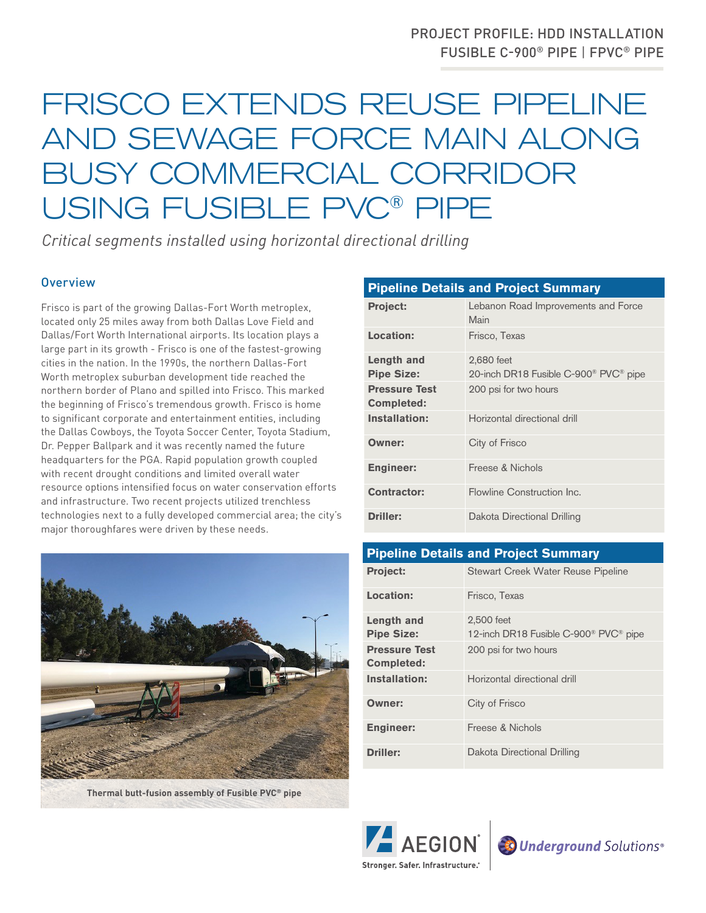## PROJECT PROFILE: HDD INSTALLATION FUSIBLE C-900® PIPE | FPVC® PIPE

## FRISCO EXTENDS REUSE PIPELINE AND SEWAGE FORCE MAIN ALONG BUSY COMMERCIAL CORRIDOR USING FUSIBLE PVC® PIPE

*Critical segments installed using horizontal directional drilling*

## **Overview**

Frisco is part of the growing Dallas-Fort Worth metroplex, located only 25 miles away from both Dallas Love Field and Dallas/Fort Worth International airports. Its location plays a large part in its growth - Frisco is one of the fastest-growing cities in the nation. In the 1990s, the northern Dallas-Fort Worth metroplex suburban development tide reached the northern border of Plano and spilled into Frisco. This marked the beginning of Frisco's tremendous growth. Frisco is home to significant corporate and entertainment entities, including the Dallas Cowboys, the Toyota Soccer Center, Toyota Stadium, Dr. Pepper Ballpark and it was recently named the future headquarters for the PGA. Rapid population growth coupled with recent drought conditions and limited overall water resource options intensified focus on water conservation efforts and infrastructure. Two recent projects utilized trenchless technologies next to a fully developed commercial area; the city's major thoroughfares were driven by these needs.



**Thermal butt-fusion assembly of Fusible PVC® pipe**

| <b>Pipeline Details and Project Summary</b> |                                                               |
|---------------------------------------------|---------------------------------------------------------------|
| <b>Project:</b>                             | Lebanon Road Improvements and Force<br>Main                   |
| Location:                                   | Frisco, Texas                                                 |
| Length and                                  | 2,680 feet                                                    |
| <b>Pipe Size:</b>                           | 20-inch DR18 Fusible C-900 <sup>®</sup> PVC <sup>®</sup> pipe |
| <b>Pressure Test</b>                        | 200 psi for two hours                                         |
| Completed:                                  |                                                               |
| Installation:                               | Horizontal directional drill                                  |
| Owner:                                      | City of Frisco                                                |
| <b>Engineer:</b>                            | Freese & Nichols                                              |
| Contractor:                                 | Flowline Construction Inc.                                    |
| <b>Driller:</b>                             | Dakota Directional Drilling                                   |

| <b>Pipeline Details and Project Summary</b> |                                                               |
|---------------------------------------------|---------------------------------------------------------------|
| <b>Project:</b>                             | Stewart Creek Water Reuse Pipeline                            |
| Location:                                   | Frisco, Texas                                                 |
| Length and                                  | 2.500 feet                                                    |
| <b>Pipe Size:</b>                           | 12-inch DR18 Fusible C-900 <sup>®</sup> PVC <sup>®</sup> pipe |
| <b>Pressure Test</b>                        | 200 psi for two hours                                         |
| Completed:                                  |                                                               |
| Installation:                               | Horizontal directional drill                                  |
| Owner:                                      | City of Frisco                                                |
| <b>Engineer:</b>                            | Freese & Nichols                                              |
| <b>Driller:</b>                             | Dakota Directional Drilling                                   |



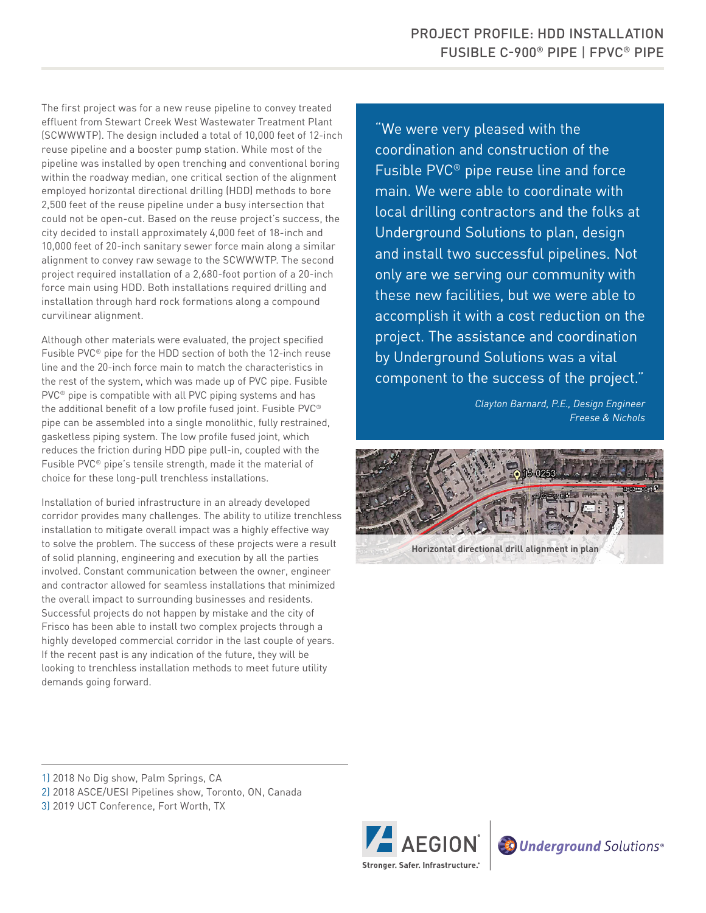The first project was for a new reuse pipeline to convey treated effluent from Stewart Creek West Wastewater Treatment Plant (SCWWWTP). The design included a total of 10,000 feet of 12-inch reuse pipeline and a booster pump station. While most of the pipeline was installed by open trenching and conventional boring within the roadway median, one critical section of the alignment employed horizontal directional drilling (HDD) methods to bore 2,500 feet of the reuse pipeline under a busy intersection that could not be open-cut. Based on the reuse project's success, the city decided to install approximately 4,000 feet of 18-inch and 10,000 feet of 20-inch sanitary sewer force main along a similar alignment to convey raw sewage to the SCWWWTP. The second project required installation of a 2,680-foot portion of a 20-inch force main using HDD. Both installations required drilling and installation through hard rock formations along a compound curvilinear alignment.

Although other materials were evaluated, the project specified Fusible PVC® pipe for the HDD section of both the 12-inch reuse line and the 20-inch force main to match the characteristics in the rest of the system, which was made up of PVC pipe. Fusible PVC® pipe is compatible with all PVC piping systems and has the additional benefit of a low profile fused joint. Fusible PVC® pipe can be assembled into a single monolithic, fully restrained, gasketless piping system. The low profile fused joint, which reduces the friction during HDD pipe pull-in, coupled with the Fusible PVC® pipe's tensile strength, made it the material of choice for these long-pull trenchless installations.

Installation of buried infrastructure in an already developed corridor provides many challenges. The ability to utilize trenchless installation to mitigate overall impact was a highly effective way to solve the problem. The success of these projects were a result of solid planning, engineering and execution by all the parties involved. Constant communication between the owner, engineer and contractor allowed for seamless installations that minimized the overall impact to surrounding businesses and residents. Successful projects do not happen by mistake and the city of Frisco has been able to install two complex projects through a highly developed commercial corridor in the last couple of years. If the recent past is any indication of the future, they will be looking to trenchless installation methods to meet future utility demands going forward.

"We were very pleased with the coordination and construction of the Fusible PVC® pipe reuse line and force main. We were able to coordinate with local drilling contractors and the folks at Underground Solutions to plan, design and install two successful pipelines. Not only are we serving our community with these new facilities, but we were able to accomplish it with a cost reduction on the project. The assistance and coordination by Underground Solutions was a vital component to the success of the project."

> *Clayton Barnard, P.E., Design Engineer Freese & Nichols*



1) 2018 No Dig show, Palm Springs, CA

2) 2018 ASCE/UESI Pipelines show, Toronto, ON, Canada

3) 2019 UCT Conference, Fort Worth, TX